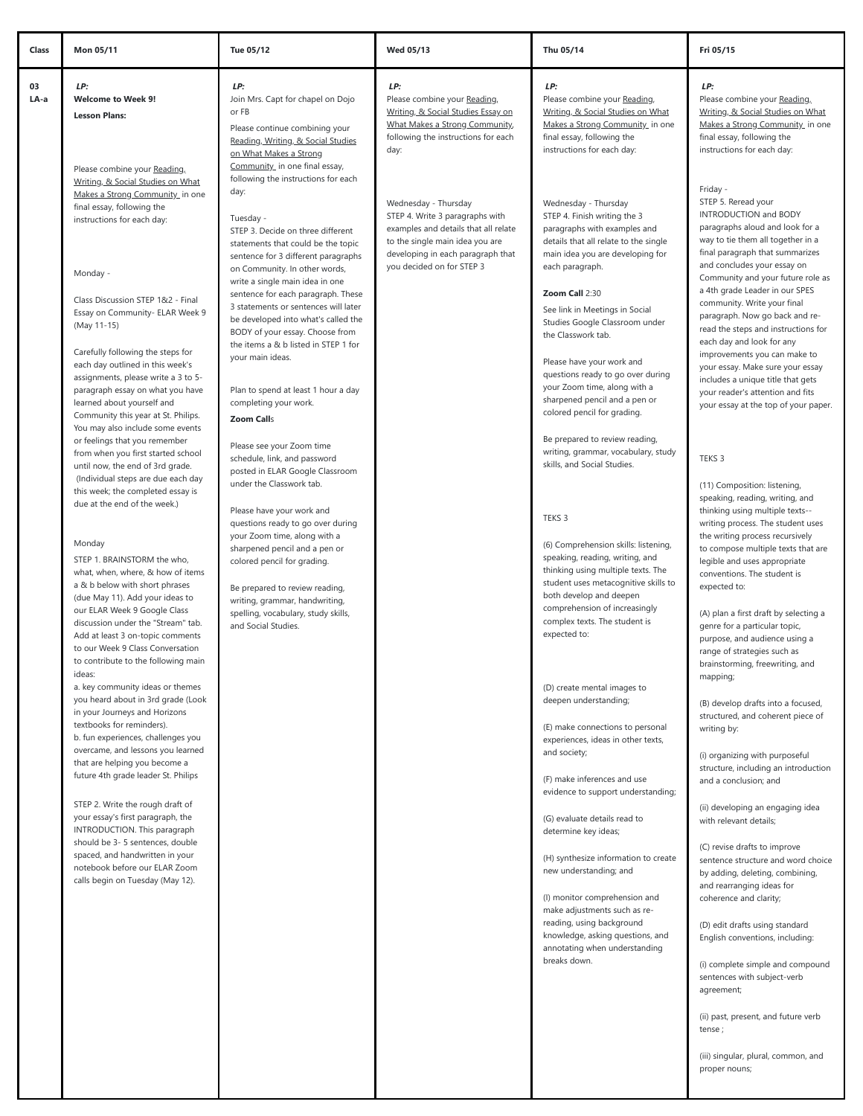| 03<br>LP:<br>LP:<br>LP:<br>LP:<br>LP:<br>LA-a<br><b>Welcome to Week 9!</b><br>Join Mrs. Capt for chapel on Dojo<br>Please combine your Reading,<br>Please combine your Reading,<br>or FB<br>Writing, & Social Studies Essay on<br>Writing, & Social Studies on What<br><b>Lesson Plans:</b><br>What Makes a Strong Community,<br>Makes a Strong Community_ in one<br>Please continue combining your<br>final essay, following the<br>following the instructions for each<br>Reading, Writing, & Social Studies<br>instructions for each day:<br>day:<br>on What Makes a Strong<br>Community_ in one final essay,<br>Please combine your Reading,<br>following the instructions for each<br>Writing, & Social Studies on What<br>Friday -<br>day:<br>Makes a Strong Community in one<br>STEP 5. Reread your<br>Wednesday - Thursday<br>Wednesday - Thursday<br>final essay, following the<br>STEP 4. Write 3 paragraphs with<br>STEP 4. Finish writing the 3<br>Tuesday -<br>instructions for each day:<br>examples and details that all relate<br>paragraphs with examples and<br>STEP 3. Decide on three different<br>to the single main idea you are<br>details that all relate to the single<br>statements that could be the topic<br>developing in each paragraph that<br>main idea you are developing for<br>sentence for 3 different paragraphs<br>you decided on for STEP 3<br>each paragraph.<br>on Community. In other words,<br>Monday -<br>write a single main idea in one<br>Zoom Call 2:30<br>sentence for each paragraph. These<br>Class Discussion STEP 1&2 - Final<br>3 statements or sentences will later<br>See link in Meetings in Social<br>Essay on Community- ELAR Week 9<br>be developed into what's called the<br>Studies Google Classroom under<br>(May 11-15)<br>BODY of your essay. Choose from<br>the Classwork tab.<br>the items a & b listed in STEP 1 for<br>Carefully following the steps for<br>your main ideas.<br>Please have your work and<br>each day outlined in this week's<br>questions ready to go over during<br>assignments, please write a 3 to 5-<br>your Zoom time, along with a<br>paragraph essay on what you have<br>Plan to spend at least 1 hour a day<br>sharpened pencil and a pen or<br>learned about yourself and<br>completing your work.<br>colored pencil for grading.<br>Community this year at St. Philips.<br><b>Zoom Calls</b><br>You may also include some events<br>Be prepared to review reading,<br>or feelings that you remember<br>Please see your Zoom time<br>writing, grammar, vocabulary, study<br>from when you first started school<br>schedule, link, and password<br>TEKS 3<br>skills, and Social Studies.<br>until now, the end of 3rd grade.<br>posted in ELAR Google Classroom<br>(Individual steps are due each day<br>under the Classwork tab.<br>this week; the completed essay is<br>due at the end of the week.)<br>Please have your work and<br>TEKS 3<br>questions ready to go over during<br>your Zoom time, along with a<br>Monday<br>(6) Comprehension skills: listening,<br>sharpened pencil and a pen or<br>speaking, reading, writing, and<br>STEP 1. BRAINSTORM the who,<br>colored pencil for grading.<br>thinking using multiple texts. The<br>what, when, where, & how of items<br>student uses metacognitive skills to<br>a & b below with short phrases<br>expected to:<br>Be prepared to review reading,<br>both develop and deepen<br>(due May 11). Add your ideas to<br>writing, grammar, handwriting,<br>comprehension of increasingly<br>our ELAR Week 9 Google Class<br>spelling, vocabulary, study skills,<br>complex texts. The student is<br>discussion under the "Stream" tab.<br>and Social Studies.<br>expected to:<br>Add at least 3 on-topic comments<br>to our Week 9 Class Conversation<br>to contribute to the following main<br>ideas:<br>mapping;<br>a. key community ideas or themes<br>(D) create mental images to<br>you heard about in 3rd grade (Look<br>deepen understanding;<br>in your Journeys and Horizons<br>textbooks for reminders).<br>(E) make connections to personal<br>writing by:<br>b. fun experiences, challenges you<br>experiences, ideas in other texts,<br>overcame, and lessons you learned<br>and society;<br>that are helping you become a<br>future 4th grade leader St. Philips<br>(F) make inferences and use<br>and a conclusion; and<br>evidence to support understanding;<br>STEP 2. Write the rough draft of<br>your essay's first paragraph, the<br>(G) evaluate details read to<br>with relevant details;<br>INTRODUCTION. This paragraph<br>determine key ideas;<br>should be 3- 5 sentences, double<br>spaced, and handwritten in your<br>(H) synthesize information to create<br>notebook before our ELAR Zoom<br>new understanding; and<br>calls begin on Tuesday (May 12).<br>(I) monitor comprehension and<br>make adjustments such as re-<br>reading, using background<br>knowledge, asking questions, and<br>annotating when understanding | Class<br>Mon 05/11 | Tue 05/12 | Wed 05/13 | Thu 05/14 | Fri 05/15                                                                                                                                                                                                                                                                                                                                                                                                                                                                                                                                                                                                                                                                                                                                                                                                                                                                                                                                                                                            |
|--------------------------------------------------------------------------------------------------------------------------------------------------------------------------------------------------------------------------------------------------------------------------------------------------------------------------------------------------------------------------------------------------------------------------------------------------------------------------------------------------------------------------------------------------------------------------------------------------------------------------------------------------------------------------------------------------------------------------------------------------------------------------------------------------------------------------------------------------------------------------------------------------------------------------------------------------------------------------------------------------------------------------------------------------------------------------------------------------------------------------------------------------------------------------------------------------------------------------------------------------------------------------------------------------------------------------------------------------------------------------------------------------------------------------------------------------------------------------------------------------------------------------------------------------------------------------------------------------------------------------------------------------------------------------------------------------------------------------------------------------------------------------------------------------------------------------------------------------------------------------------------------------------------------------------------------------------------------------------------------------------------------------------------------------------------------------------------------------------------------------------------------------------------------------------------------------------------------------------------------------------------------------------------------------------------------------------------------------------------------------------------------------------------------------------------------------------------------------------------------------------------------------------------------------------------------------------------------------------------------------------------------------------------------------------------------------------------------------------------------------------------------------------------------------------------------------------------------------------------------------------------------------------------------------------------------------------------------------------------------------------------------------------------------------------------------------------------------------------------------------------------------------------------------------------------------------------------------------------------------------------------------------------------------------------------------------------------------------------------------------------------------------------------------------------------------------------------------------------------------------------------------------------------------------------------------------------------------------------------------------------------------------------------------------------------------------------------------------------------------------------------------------------------------------------------------------------------------------------------------------------------------------------------------------------------------------------------------------------------------------------------------------------------------------------------------------------------------------------------------------------------------------------------------------------------------------------------------------------------------------------------------------------------------------------------------------------------------------------------------------------------------------------------------------------------------------------------------------------------------------------------------------------------------------------------------------------------------------------------------------------------------------------------------------------------------------------------------------------------------------------------------------------------------------------------------------------------------------------------------------------------------------------------------------------------------------------------------------------------------------------------|--------------------|-----------|-----------|-----------|------------------------------------------------------------------------------------------------------------------------------------------------------------------------------------------------------------------------------------------------------------------------------------------------------------------------------------------------------------------------------------------------------------------------------------------------------------------------------------------------------------------------------------------------------------------------------------------------------------------------------------------------------------------------------------------------------------------------------------------------------------------------------------------------------------------------------------------------------------------------------------------------------------------------------------------------------------------------------------------------------|
|                                                                                                                                                                                                                                                                                                                                                                                                                                                                                                                                                                                                                                                                                                                                                                                                                                                                                                                                                                                                                                                                                                                                                                                                                                                                                                                                                                                                                                                                                                                                                                                                                                                                                                                                                                                                                                                                                                                                                                                                                                                                                                                                                                                                                                                                                                                                                                                                                                                                                                                                                                                                                                                                                                                                                                                                                                                                                                                                                                                                                                                                                                                                                                                                                                                                                                                                                                                                                                                                                                                                                                                                                                                                                                                                                                                                                                                                                                                                                                                                                                                                                                                                                                                                                                                                                                                                                                                                                                                                                                                                                                                                                                                                                                                                                                                                                                                                                                                                                                                                              |                    |           |           |           | Please combine your Reading,<br>Writing, & Social Studies on What<br>Makes a Strong Community_ in one<br>final essay, following the<br>instructions for each day:                                                                                                                                                                                                                                                                                                                                                                                                                                                                                                                                                                                                                                                                                                                                                                                                                                    |
|                                                                                                                                                                                                                                                                                                                                                                                                                                                                                                                                                                                                                                                                                                                                                                                                                                                                                                                                                                                                                                                                                                                                                                                                                                                                                                                                                                                                                                                                                                                                                                                                                                                                                                                                                                                                                                                                                                                                                                                                                                                                                                                                                                                                                                                                                                                                                                                                                                                                                                                                                                                                                                                                                                                                                                                                                                                                                                                                                                                                                                                                                                                                                                                                                                                                                                                                                                                                                                                                                                                                                                                                                                                                                                                                                                                                                                                                                                                                                                                                                                                                                                                                                                                                                                                                                                                                                                                                                                                                                                                                                                                                                                                                                                                                                                                                                                                                                                                                                                                                              |                    |           |           |           | INTRODUCTION and BODY<br>paragraphs aloud and look for a<br>way to tie them all together in a<br>final paragraph that summarizes<br>and concludes your essay on<br>Community and your future role as<br>a 4th grade Leader in our SPES<br>community. Write your final<br>paragraph. Now go back and re-<br>read the steps and instructions for<br>each day and look for any<br>improvements you can make to<br>your essay. Make sure your essay<br>includes a unique title that gets<br>your reader's attention and fits<br>your essay at the top of your paper.                                                                                                                                                                                                                                                                                                                                                                                                                                     |
| breaks down.<br>agreement;<br>tense;                                                                                                                                                                                                                                                                                                                                                                                                                                                                                                                                                                                                                                                                                                                                                                                                                                                                                                                                                                                                                                                                                                                                                                                                                                                                                                                                                                                                                                                                                                                                                                                                                                                                                                                                                                                                                                                                                                                                                                                                                                                                                                                                                                                                                                                                                                                                                                                                                                                                                                                                                                                                                                                                                                                                                                                                                                                                                                                                                                                                                                                                                                                                                                                                                                                                                                                                                                                                                                                                                                                                                                                                                                                                                                                                                                                                                                                                                                                                                                                                                                                                                                                                                                                                                                                                                                                                                                                                                                                                                                                                                                                                                                                                                                                                                                                                                                                                                                                                                                         |                    |           |           |           | (11) Composition: listening,<br>speaking, reading, writing, and<br>thinking using multiple texts--<br>writing process. The student uses<br>the writing process recursively<br>to compose multiple texts that are<br>legible and uses appropriate<br>conventions. The student is<br>(A) plan a first draft by selecting a<br>genre for a particular topic,<br>purpose, and audience using a<br>range of strategies such as<br>brainstorming, freewriting, and<br>(B) develop drafts into a focused,<br>structured, and coherent piece of<br>(i) organizing with purposeful<br>structure, including an introduction<br>(ii) developing an engaging idea<br>(C) revise drafts to improve<br>sentence structure and word choice<br>by adding, deleting, combining,<br>and rearranging ideas for<br>coherence and clarity;<br>(D) edit drafts using standard<br>English conventions, including:<br>(i) complete simple and compound<br>sentences with subject-verb<br>(ii) past, present, and future verb |

proper nouns;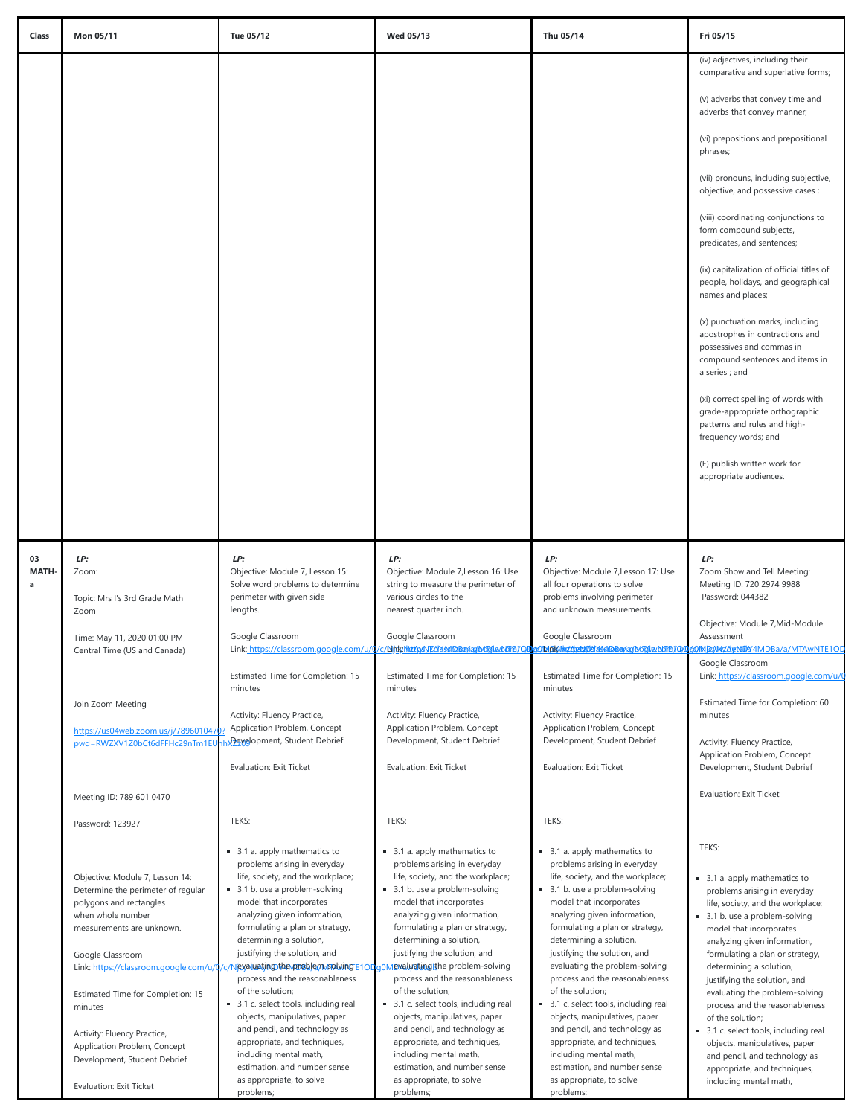| Class                   | Mon 05/11                                                                                                                                                                                                                                                                                                             | Tue 05/12                                                                                                                                                                                                                                                                                                                                                                                                                                                                                                                                                                                                                         | <b>Wed 05/13</b>                                                                                                                                                                                                                                                                                                                                                                                                                                                                                                                                                                      | Thu 05/14                                                                                                                                                                                                                                                                                                                                                                                                                                                                                                                                                                            | Fri 05/15                                                                                                                                                                                                                                                                                                                                                                                                                                                                                                                           |
|-------------------------|-----------------------------------------------------------------------------------------------------------------------------------------------------------------------------------------------------------------------------------------------------------------------------------------------------------------------|-----------------------------------------------------------------------------------------------------------------------------------------------------------------------------------------------------------------------------------------------------------------------------------------------------------------------------------------------------------------------------------------------------------------------------------------------------------------------------------------------------------------------------------------------------------------------------------------------------------------------------------|---------------------------------------------------------------------------------------------------------------------------------------------------------------------------------------------------------------------------------------------------------------------------------------------------------------------------------------------------------------------------------------------------------------------------------------------------------------------------------------------------------------------------------------------------------------------------------------|--------------------------------------------------------------------------------------------------------------------------------------------------------------------------------------------------------------------------------------------------------------------------------------------------------------------------------------------------------------------------------------------------------------------------------------------------------------------------------------------------------------------------------------------------------------------------------------|-------------------------------------------------------------------------------------------------------------------------------------------------------------------------------------------------------------------------------------------------------------------------------------------------------------------------------------------------------------------------------------------------------------------------------------------------------------------------------------------------------------------------------------|
|                         |                                                                                                                                                                                                                                                                                                                       |                                                                                                                                                                                                                                                                                                                                                                                                                                                                                                                                                                                                                                   |                                                                                                                                                                                                                                                                                                                                                                                                                                                                                                                                                                                       |                                                                                                                                                                                                                                                                                                                                                                                                                                                                                                                                                                                      | (iv) adjectives, including their<br>comparative and superlative forms;                                                                                                                                                                                                                                                                                                                                                                                                                                                              |
|                         |                                                                                                                                                                                                                                                                                                                       |                                                                                                                                                                                                                                                                                                                                                                                                                                                                                                                                                                                                                                   |                                                                                                                                                                                                                                                                                                                                                                                                                                                                                                                                                                                       |                                                                                                                                                                                                                                                                                                                                                                                                                                                                                                                                                                                      | (v) adverbs that convey time and<br>adverbs that convey manner;                                                                                                                                                                                                                                                                                                                                                                                                                                                                     |
|                         |                                                                                                                                                                                                                                                                                                                       |                                                                                                                                                                                                                                                                                                                                                                                                                                                                                                                                                                                                                                   |                                                                                                                                                                                                                                                                                                                                                                                                                                                                                                                                                                                       |                                                                                                                                                                                                                                                                                                                                                                                                                                                                                                                                                                                      | (vi) prepositions and prepositional<br>phrases;                                                                                                                                                                                                                                                                                                                                                                                                                                                                                     |
|                         |                                                                                                                                                                                                                                                                                                                       |                                                                                                                                                                                                                                                                                                                                                                                                                                                                                                                                                                                                                                   |                                                                                                                                                                                                                                                                                                                                                                                                                                                                                                                                                                                       |                                                                                                                                                                                                                                                                                                                                                                                                                                                                                                                                                                                      | (vii) pronouns, including subjective,<br>objective, and possessive cases ;                                                                                                                                                                                                                                                                                                                                                                                                                                                          |
|                         |                                                                                                                                                                                                                                                                                                                       |                                                                                                                                                                                                                                                                                                                                                                                                                                                                                                                                                                                                                                   |                                                                                                                                                                                                                                                                                                                                                                                                                                                                                                                                                                                       |                                                                                                                                                                                                                                                                                                                                                                                                                                                                                                                                                                                      | (viii) coordinating conjunctions to<br>form compound subjects,<br>predicates, and sentences;                                                                                                                                                                                                                                                                                                                                                                                                                                        |
|                         |                                                                                                                                                                                                                                                                                                                       |                                                                                                                                                                                                                                                                                                                                                                                                                                                                                                                                                                                                                                   |                                                                                                                                                                                                                                                                                                                                                                                                                                                                                                                                                                                       |                                                                                                                                                                                                                                                                                                                                                                                                                                                                                                                                                                                      | (ix) capitalization of official titles of<br>people, holidays, and geographical<br>names and places;                                                                                                                                                                                                                                                                                                                                                                                                                                |
|                         |                                                                                                                                                                                                                                                                                                                       |                                                                                                                                                                                                                                                                                                                                                                                                                                                                                                                                                                                                                                   |                                                                                                                                                                                                                                                                                                                                                                                                                                                                                                                                                                                       |                                                                                                                                                                                                                                                                                                                                                                                                                                                                                                                                                                                      | (x) punctuation marks, including<br>apostrophes in contractions and<br>possessives and commas in<br>compound sentences and items in<br>a series; and                                                                                                                                                                                                                                                                                                                                                                                |
|                         |                                                                                                                                                                                                                                                                                                                       |                                                                                                                                                                                                                                                                                                                                                                                                                                                                                                                                                                                                                                   |                                                                                                                                                                                                                                                                                                                                                                                                                                                                                                                                                                                       |                                                                                                                                                                                                                                                                                                                                                                                                                                                                                                                                                                                      | (xi) correct spelling of words with<br>grade-appropriate orthographic<br>patterns and rules and high-<br>frequency words; and                                                                                                                                                                                                                                                                                                                                                                                                       |
|                         |                                                                                                                                                                                                                                                                                                                       |                                                                                                                                                                                                                                                                                                                                                                                                                                                                                                                                                                                                                                   |                                                                                                                                                                                                                                                                                                                                                                                                                                                                                                                                                                                       |                                                                                                                                                                                                                                                                                                                                                                                                                                                                                                                                                                                      | (E) publish written work for<br>appropriate audiences.                                                                                                                                                                                                                                                                                                                                                                                                                                                                              |
|                         |                                                                                                                                                                                                                                                                                                                       |                                                                                                                                                                                                                                                                                                                                                                                                                                                                                                                                                                                                                                   |                                                                                                                                                                                                                                                                                                                                                                                                                                                                                                                                                                                       |                                                                                                                                                                                                                                                                                                                                                                                                                                                                                                                                                                                      |                                                                                                                                                                                                                                                                                                                                                                                                                                                                                                                                     |
| 03<br><b>MATH-</b><br>a | LP:<br>Zoom:<br>Topic: Mrs I's 3rd Grade Math<br>Zoom                                                                                                                                                                                                                                                                 | LP:<br>Objective: Module 7, Lesson 15:<br>Solve word problems to determine<br>perimeter with given side<br>lengths.                                                                                                                                                                                                                                                                                                                                                                                                                                                                                                               | LP:<br>Objective: Module 7, Lesson 16: Use<br>string to measure the perimeter of<br>various circles to the<br>nearest quarter inch.                                                                                                                                                                                                                                                                                                                                                                                                                                                   | LP:<br>Objective: Module 7, Lesson 17: Use<br>all four operations to solve<br>problems involving perimeter<br>and unknown measurements.                                                                                                                                                                                                                                                                                                                                                                                                                                              | LP:<br>Zoom Show and Tell Meeting:<br>Meeting ID: 720 2974 9988<br>Password: 044382                                                                                                                                                                                                                                                                                                                                                                                                                                                 |
|                         | Time: May 11, 2020 01:00 PM                                                                                                                                                                                                                                                                                           | Google Classroom                                                                                                                                                                                                                                                                                                                                                                                                                                                                                                                                                                                                                  | Google Classroom                                                                                                                                                                                                                                                                                                                                                                                                                                                                                                                                                                      | Google Classroom                                                                                                                                                                                                                                                                                                                                                                                                                                                                                                                                                                     | Objective: Module 7, Mid-Module<br>Assessment                                                                                                                                                                                                                                                                                                                                                                                                                                                                                       |
|                         | Central Time (US and Canada)                                                                                                                                                                                                                                                                                          |                                                                                                                                                                                                                                                                                                                                                                                                                                                                                                                                                                                                                                   | Link: https://classroom.google.com/u/0/c/Nink/NutAvAVDY4AddBadar/M5diwN56f0006f0006fMaddliby8kdMadar/M5diwN56f0                                                                                                                                                                                                                                                                                                                                                                                                                                                                       |                                                                                                                                                                                                                                                                                                                                                                                                                                                                                                                                                                                      | MDAMZARMIN4MDBa/a/MTAwNTE10D<br>Google Classroom                                                                                                                                                                                                                                                                                                                                                                                                                                                                                    |
|                         |                                                                                                                                                                                                                                                                                                                       | Estimated Time for Completion: 15                                                                                                                                                                                                                                                                                                                                                                                                                                                                                                                                                                                                 | Estimated Time for Completion: 15                                                                                                                                                                                                                                                                                                                                                                                                                                                                                                                                                     | Estimated Time for Completion: 15                                                                                                                                                                                                                                                                                                                                                                                                                                                                                                                                                    | Link: https://classroom.google.com/u/0                                                                                                                                                                                                                                                                                                                                                                                                                                                                                              |
|                         | Join Zoom Meeting                                                                                                                                                                                                                                                                                                     | minutes<br>Activity: Fluency Practice,                                                                                                                                                                                                                                                                                                                                                                                                                                                                                                                                                                                            | minutes<br>Activity: Fluency Practice,                                                                                                                                                                                                                                                                                                                                                                                                                                                                                                                                                | minutes<br>Activity: Fluency Practice,                                                                                                                                                                                                                                                                                                                                                                                                                                                                                                                                               | Estimated Time for Completion: 60<br>minutes                                                                                                                                                                                                                                                                                                                                                                                                                                                                                        |
|                         | https://us04web.zoom.us/j/789601047<br>pwd=RWZXV1Z0bCt6dFFHc29nTm1EL                                                                                                                                                                                                                                                  | Application Problem, Concept<br>Development, Student Debrief                                                                                                                                                                                                                                                                                                                                                                                                                                                                                                                                                                      | Application Problem, Concept<br>Development, Student Debrief                                                                                                                                                                                                                                                                                                                                                                                                                                                                                                                          | Application Problem, Concept<br>Development, Student Debrief                                                                                                                                                                                                                                                                                                                                                                                                                                                                                                                         | Activity: Fluency Practice,                                                                                                                                                                                                                                                                                                                                                                                                                                                                                                         |
|                         |                                                                                                                                                                                                                                                                                                                       | <b>Evaluation: Exit Ticket</b>                                                                                                                                                                                                                                                                                                                                                                                                                                                                                                                                                                                                    | <b>Evaluation: Exit Ticket</b>                                                                                                                                                                                                                                                                                                                                                                                                                                                                                                                                                        | <b>Evaluation: Exit Ticket</b>                                                                                                                                                                                                                                                                                                                                                                                                                                                                                                                                                       | Application Problem, Concept<br>Development, Student Debrief                                                                                                                                                                                                                                                                                                                                                                                                                                                                        |
|                         | Meeting ID: 789 601 0470                                                                                                                                                                                                                                                                                              |                                                                                                                                                                                                                                                                                                                                                                                                                                                                                                                                                                                                                                   |                                                                                                                                                                                                                                                                                                                                                                                                                                                                                                                                                                                       |                                                                                                                                                                                                                                                                                                                                                                                                                                                                                                                                                                                      | <b>Evaluation: Exit Ticket</b>                                                                                                                                                                                                                                                                                                                                                                                                                                                                                                      |
|                         | Password: 123927                                                                                                                                                                                                                                                                                                      | TEKS:                                                                                                                                                                                                                                                                                                                                                                                                                                                                                                                                                                                                                             | TEKS:                                                                                                                                                                                                                                                                                                                                                                                                                                                                                                                                                                                 | TEKS:                                                                                                                                                                                                                                                                                                                                                                                                                                                                                                                                                                                |                                                                                                                                                                                                                                                                                                                                                                                                                                                                                                                                     |
|                         | Objective: Module 7, Lesson 14:<br>Determine the perimeter of regular<br>polygons and rectangles<br>when whole number<br>measurements are unknown.<br>Google Classroom<br>Estimated Time for Completion: 15<br>minutes<br>Activity: Fluency Practice,<br>Application Problem, Concept<br>Development, Student Debrief | 3.1 a. apply mathematics to<br>problems arising in everyday<br>life, society, and the workplace;<br>3.1 b. use a problem-solving<br>model that incorporates<br>analyzing given information,<br>formulating a plan or strategy,<br>determining a solution,<br>justifying the solution, and<br>Link: https://classroom.google.com/u/0/c/Ngyaluating.tha.problem.sp/wngE1OD<br>process and the reasonableness<br>of the solution;<br>3.1 c. select tools, including real<br>objects, manipulatives, paper<br>and pencil, and technology as<br>appropriate, and techniques,<br>including mental math,<br>estimation, and number sense | 3.1 a. apply mathematics to<br>problems arising in everyday<br>life, society, and the workplace;<br>3.1 b. use a problem-solving<br>model that incorporates<br>analyzing given information,<br>formulating a plan or strategy,<br>determining a solution,<br>justifying the solution, and<br>nevaluating the problem-solving<br>process and the reasonableness<br>of the solution;<br>3.1 c. select tools, including real<br>objects, manipulatives, paper<br>and pencil, and technology as<br>appropriate, and techniques,<br>including mental math,<br>estimation, and number sense | 3.1 a. apply mathematics to<br>problems arising in everyday<br>life, society, and the workplace;<br>3.1 b. use a problem-solving<br>model that incorporates<br>analyzing given information,<br>formulating a plan or strategy,<br>determining a solution,<br>justifying the solution, and<br>evaluating the problem-solving<br>process and the reasonableness<br>of the solution;<br>3.1 c. select tools, including real<br>objects, manipulatives, paper<br>and pencil, and technology as<br>appropriate, and techniques,<br>including mental math,<br>estimation, and number sense | TEKS:<br>3.1 a. apply mathematics to<br>problems arising in everyday<br>life, society, and the workplace;<br>3.1 b. use a problem-solving<br>model that incorporates<br>analyzing given information,<br>formulating a plan or strategy,<br>determining a solution,<br>justifying the solution, and<br>evaluating the problem-solving<br>process and the reasonableness<br>of the solution;<br>3.1 c. select tools, including real<br>objects, manipulatives, paper<br>and pencil, and technology as<br>appropriate, and techniques, |
|                         | Evaluation: Exit Ticket                                                                                                                                                                                                                                                                                               | as appropriate, to solve<br>problems;                                                                                                                                                                                                                                                                                                                                                                                                                                                                                                                                                                                             | as appropriate, to solve<br>problems;                                                                                                                                                                                                                                                                                                                                                                                                                                                                                                                                                 | as appropriate, to solve<br>problems;                                                                                                                                                                                                                                                                                                                                                                                                                                                                                                                                                | including mental math,                                                                                                                                                                                                                                                                                                                                                                                                                                                                                                              |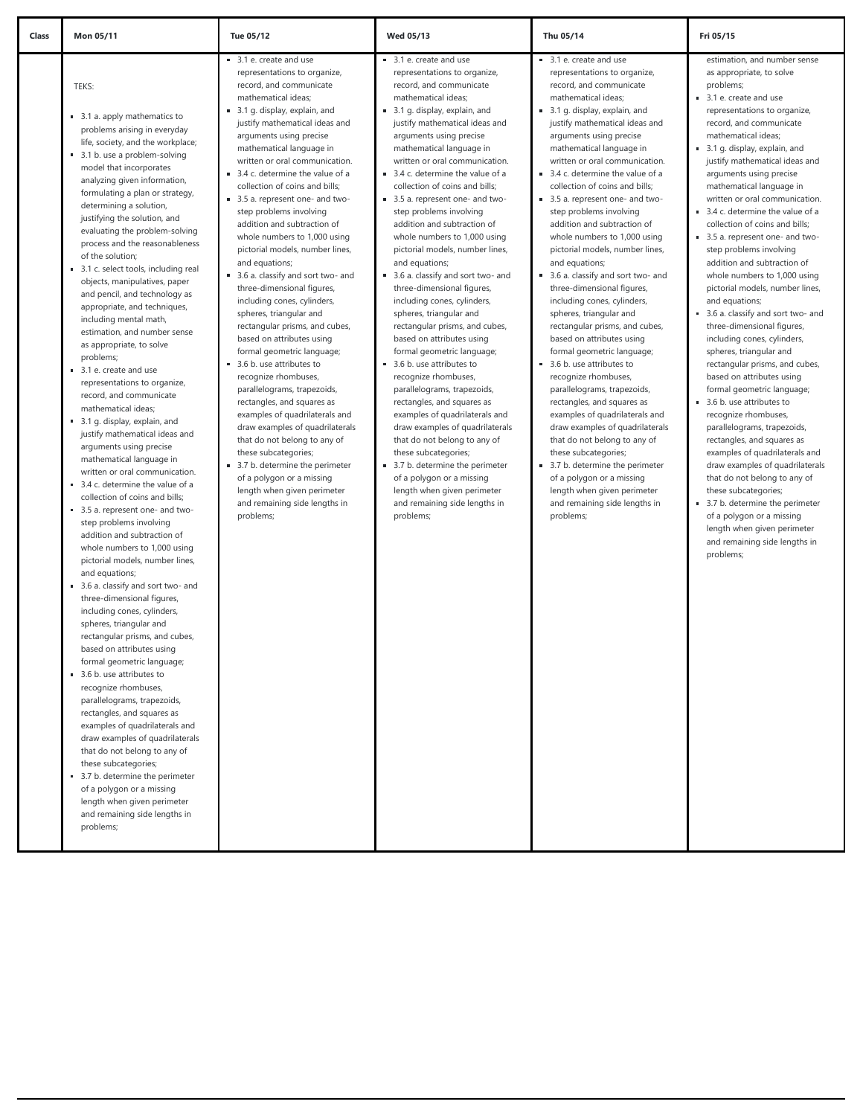| Class | Mon 05/11                                                                                                                                                                                                                                                                                                                                                                                                                                                                                                                                                                                                                                                                                                                                                                                                                                                                                                                                                                                                                                                                                                                                                                                                                                                                                                                                                                                                                                                                                                                                                                                                                                                                                                                                                                              | Tue 05/12                                                                                                                                                                                                                                                                                                                                                                                                                                                                                                                                                                                                                                                                                                                                                                                                                                                                                                                                                                                                                                                                                                                                    | <b>Wed 05/13</b>                                                                                                                                                                                                                                                                                                                                                                                                                                                                                                                                                                                                                                                                                                                                                                                                                                                                                                                                                                                                                                                                                                                             | Thu 05/14                                                                                                                                                                                                                                                                                                                                                                                                                                                                                                                                                                                                                                                                                                                                                                                                                                                                                                                                                                                                                                                                                                                                    | Fri 05/15                                                                                                                                                                                                                                                                                                                                                                                                                                                                                                                                                                                                                                                                                                                                                                                                                                                                                                                                                                                                                                                                                                                                                                                                                   |
|-------|----------------------------------------------------------------------------------------------------------------------------------------------------------------------------------------------------------------------------------------------------------------------------------------------------------------------------------------------------------------------------------------------------------------------------------------------------------------------------------------------------------------------------------------------------------------------------------------------------------------------------------------------------------------------------------------------------------------------------------------------------------------------------------------------------------------------------------------------------------------------------------------------------------------------------------------------------------------------------------------------------------------------------------------------------------------------------------------------------------------------------------------------------------------------------------------------------------------------------------------------------------------------------------------------------------------------------------------------------------------------------------------------------------------------------------------------------------------------------------------------------------------------------------------------------------------------------------------------------------------------------------------------------------------------------------------------------------------------------------------------------------------------------------------|----------------------------------------------------------------------------------------------------------------------------------------------------------------------------------------------------------------------------------------------------------------------------------------------------------------------------------------------------------------------------------------------------------------------------------------------------------------------------------------------------------------------------------------------------------------------------------------------------------------------------------------------------------------------------------------------------------------------------------------------------------------------------------------------------------------------------------------------------------------------------------------------------------------------------------------------------------------------------------------------------------------------------------------------------------------------------------------------------------------------------------------------|----------------------------------------------------------------------------------------------------------------------------------------------------------------------------------------------------------------------------------------------------------------------------------------------------------------------------------------------------------------------------------------------------------------------------------------------------------------------------------------------------------------------------------------------------------------------------------------------------------------------------------------------------------------------------------------------------------------------------------------------------------------------------------------------------------------------------------------------------------------------------------------------------------------------------------------------------------------------------------------------------------------------------------------------------------------------------------------------------------------------------------------------|----------------------------------------------------------------------------------------------------------------------------------------------------------------------------------------------------------------------------------------------------------------------------------------------------------------------------------------------------------------------------------------------------------------------------------------------------------------------------------------------------------------------------------------------------------------------------------------------------------------------------------------------------------------------------------------------------------------------------------------------------------------------------------------------------------------------------------------------------------------------------------------------------------------------------------------------------------------------------------------------------------------------------------------------------------------------------------------------------------------------------------------------|-----------------------------------------------------------------------------------------------------------------------------------------------------------------------------------------------------------------------------------------------------------------------------------------------------------------------------------------------------------------------------------------------------------------------------------------------------------------------------------------------------------------------------------------------------------------------------------------------------------------------------------------------------------------------------------------------------------------------------------------------------------------------------------------------------------------------------------------------------------------------------------------------------------------------------------------------------------------------------------------------------------------------------------------------------------------------------------------------------------------------------------------------------------------------------------------------------------------------------|
|       | TEKS:<br>3.1 a. apply mathematics to<br>problems arising in everyday<br>life, society, and the workplace;<br>3.1 b. use a problem-solving<br>model that incorporates<br>analyzing given information,<br>formulating a plan or strategy,<br>determining a solution,<br>justifying the solution, and<br>evaluating the problem-solving<br>process and the reasonableness<br>of the solution;<br>3.1 c. select tools, including real<br>objects, manipulatives, paper<br>and pencil, and technology as<br>appropriate, and techniques,<br>including mental math,<br>estimation, and number sense<br>as appropriate, to solve<br>problems;<br>3.1 e. create and use<br>representations to organize,<br>record, and communicate<br>mathematical ideas;<br>3.1 g. display, explain, and<br>justify mathematical ideas and<br>arguments using precise<br>mathematical language in<br>written or oral communication.<br>3.4 c. determine the value of a<br>collection of coins and bills;<br>3.5 a. represent one- and two-<br>step problems involving<br>addition and subtraction of<br>whole numbers to 1,000 using<br>pictorial models, number lines,<br>and equations;<br>3.6 a. classify and sort two- and<br>three-dimensional figures,<br>including cones, cylinders,<br>spheres, triangular and<br>rectangular prisms, and cubes,<br>based on attributes using<br>formal geometric language;<br>3.6 b. use attributes to<br>recognize rhombuses,<br>parallelograms, trapezoids,<br>rectangles, and squares as<br>examples of quadrilaterals and<br>draw examples of quadrilaterals<br>that do not belong to any of<br>these subcategories;<br>3.7 b. determine the perimeter<br>of a polygon or a missing<br>length when given perimeter<br>and remaining side lengths in<br>problems; | 3.1 e. create and use<br>representations to organize,<br>record, and communicate<br>mathematical ideas;<br>3.1 g. display, explain, and<br>justify mathematical ideas and<br>arguments using precise<br>mathematical language in<br>written or oral communication.<br>3.4 c. determine the value of a<br>collection of coins and bills;<br>3.5 a. represent one- and two-<br>step problems involving<br>addition and subtraction of<br>whole numbers to 1,000 using<br>pictorial models, number lines,<br>and equations;<br>3.6 a. classify and sort two- and<br>three-dimensional figures,<br>including cones, cylinders,<br>spheres, triangular and<br>rectangular prisms, and cubes,<br>based on attributes using<br>formal geometric language;<br>3.6 b. use attributes to<br>recognize rhombuses,<br>parallelograms, trapezoids,<br>rectangles, and squares as<br>examples of quadrilaterals and<br>draw examples of quadrilaterals<br>that do not belong to any of<br>these subcategories;<br>3.7 b. determine the perimeter<br>of a polygon or a missing<br>length when given perimeter<br>and remaining side lengths in<br>problems; | 3.1 e. create and use<br>representations to organize,<br>record, and communicate<br>mathematical ideas;<br>3.1 g. display, explain, and<br>justify mathematical ideas and<br>arguments using precise<br>mathematical language in<br>written or oral communication.<br>3.4 c. determine the value of a<br>collection of coins and bills;<br>3.5 a. represent one- and two-<br>step problems involving<br>addition and subtraction of<br>whole numbers to 1,000 using<br>pictorial models, number lines,<br>and equations;<br>3.6 a. classify and sort two- and<br>three-dimensional figures,<br>including cones, cylinders,<br>spheres, triangular and<br>rectangular prisms, and cubes,<br>based on attributes using<br>formal geometric language;<br>3.6 b. use attributes to<br>recognize rhombuses,<br>parallelograms, trapezoids,<br>rectangles, and squares as<br>examples of quadrilaterals and<br>draw examples of quadrilaterals<br>that do not belong to any of<br>these subcategories;<br>3.7 b. determine the perimeter<br>of a polygon or a missing<br>length when given perimeter<br>and remaining side lengths in<br>problems; | 3.1 e. create and use<br>representations to organize,<br>record, and communicate<br>mathematical ideas:<br>3.1 g. display, explain, and<br>justify mathematical ideas and<br>arguments using precise<br>mathematical language in<br>written or oral communication.<br>3.4 c. determine the value of a<br>collection of coins and bills;<br>3.5 a. represent one- and two-<br>step problems involving<br>addition and subtraction of<br>whole numbers to 1,000 using<br>pictorial models, number lines,<br>and equations;<br>3.6 a. classify and sort two- and<br>three-dimensional figures,<br>including cones, cylinders,<br>spheres, triangular and<br>rectangular prisms, and cubes,<br>based on attributes using<br>formal geometric language;<br>3.6 b. use attributes to<br>recognize rhombuses,<br>parallelograms, trapezoids,<br>rectangles, and squares as<br>examples of quadrilaterals and<br>draw examples of quadrilaterals<br>that do not belong to any of<br>these subcategories;<br>3.7 b. determine the perimeter<br>of a polygon or a missing<br>length when given perimeter<br>and remaining side lengths in<br>problems; | estimation, and number sense<br>as appropriate, to solve<br>problems;<br>3.1 e. create and use<br>representations to organize,<br>record, and communicate<br>mathematical ideas;<br>3.1 g. display, explain, and<br>ш.<br>justify mathematical ideas and<br>arguments using precise<br>mathematical language in<br>written or oral communication.<br>3.4 c. determine the value of a<br>collection of coins and bills;<br>3.5 a. represent one- and two-<br>step problems involving<br>addition and subtraction of<br>whole numbers to 1,000 using<br>pictorial models, number lines,<br>and equations;<br>3.6 a. classify and sort two- and<br>three-dimensional figures,<br>including cones, cylinders,<br>spheres, triangular and<br>rectangular prisms, and cubes,<br>based on attributes using<br>formal geometric language;<br>3.6 b. use attributes to<br>recognize rhombuses,<br>parallelograms, trapezoids,<br>rectangles, and squares as<br>examples of quadrilaterals and<br>draw examples of quadrilaterals<br>that do not belong to any of<br>these subcategories;<br>3.7 b. determine the perimeter<br>of a polygon or a missing<br>length when given perimeter<br>and remaining side lengths in<br>problems; |